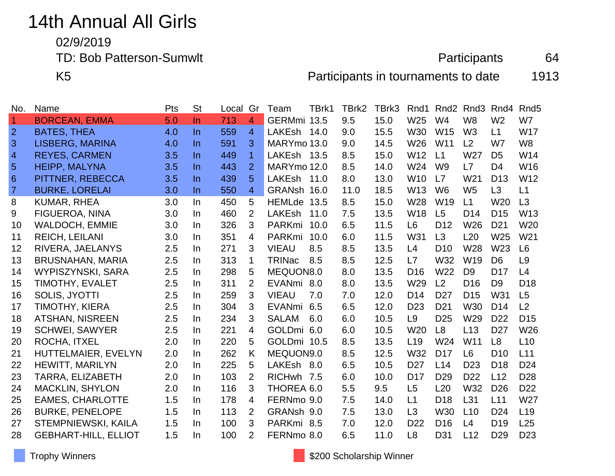# 14th Annual All Girls

02/9/2019

TD: Bob Patterson-Sumwlt 64

K5 **Participants in tournaments to date** 1913

| No.            | Name                        | Pts | <b>St</b> | Local | Gr             | Team          | TBrk1 | TBrk2 | TBrk3 | Rnd1            | Rnd <sub>2</sub> | Rnd <sub>3</sub> | Rnd4            | Rnd <sub>5</sub> |
|----------------|-----------------------------|-----|-----------|-------|----------------|---------------|-------|-------|-------|-----------------|------------------|------------------|-----------------|------------------|
| $\overline{1}$ | <b>BORCEAN, EMMA</b>        | 5.0 | $\ln$     | 713   | $\overline{4}$ | GERMmi 13.5   |       | 9.5   | 15.0  | W25             | W4               | W <sub>8</sub>   | W <sub>2</sub>  | W7               |
| $\overline{2}$ | <b>BATES, THEA</b>          | 4.0 | $\ln$     | 559   | $\overline{4}$ | LAKEsh 14.0   |       | 9.0   | 15.5  | <b>W30</b>      | W15              | W <sub>3</sub>   | L1              | <b>W17</b>       |
| 3              | <b>LISBERG, MARINA</b>      | 4.0 | $\ln$     | 591   | 3              | MARYmo 13.0   |       | 9.0   | 14.5  | W26             | W11              | L2               | W7              | W <sub>8</sub>   |
| $\overline{4}$ | <b>REYES, CARMEN</b>        | 3.5 | $\ln$     | 449   | $\overline{1}$ | LAKEsh 13.5   |       | 8.5   | 15.0  | W12             | L1               | W27              | D <sub>5</sub>  | W14              |
| $\overline{5}$ | <b>HEIPP, MALYNA</b>        | 3.5 | $\ln$     | 443   | $\overline{2}$ | MARYmo 12.0   |       | 8.5   | 14.0  | W24             | W <sub>9</sub>   | L7               | D <sub>4</sub>  | W16              |
| 6              | PITTNER, REBECCA            | 3.5 | $\ln$     | 439   | 5              | LAKEsh        | 11.0  | 8.0   | 13.0  | <b>W10</b>      | L7               | W <sub>21</sub>  | D <sub>13</sub> | W12              |
| $\overline{7}$ | <b>BURKE, LORELAI</b>       | 3.0 | In.       | 550   | $\overline{4}$ | GRANsh 16.0   |       | 11.0  | 18.5  | W <sub>13</sub> | W <sub>6</sub>   | W <sub>5</sub>   | L3              | L1               |
| 8              | <b>KUMAR, RHEA</b>          | 3.0 | $\ln$     | 450   | 5              | <b>HEMLde</b> | 13.5  | 8.5   | 15.0  | W28             | W <sub>19</sub>  | L1               | W <sub>20</sub> | L3               |
| 9              | FIGUEROA, NINA              | 3.0 | In.       | 460   | 2              | <b>LAKEsh</b> | 11.0  | 7.5   | 13.5  | <b>W18</b>      | L <sub>5</sub>   | D <sub>14</sub>  | D <sub>15</sub> | W13              |
| 10             | <b>WALDOCH, EMMIE</b>       | 3.0 | In.       | 326   | 3              | PARKmi        | 10.0  | 6.5   | 11.5  | L <sub>6</sub>  | D <sub>12</sub>  | W <sub>26</sub>  | D <sub>21</sub> | W20              |
| 11             | <b>REICH, LEILANI</b>       | 3.0 | In        | 351   | 4              | PARKmi        | 10.0  | 6.0   | 11.5  | W31             | L <sub>3</sub>   | L20              | W25             | W21              |
| 12             | RIVERA, JAELANYS            | 2.5 | In        | 271   | 3              | <b>VIEAU</b>  | 8.5   | 8.5   | 13.5  | L4              | D <sub>10</sub>  | W28              | W23             | L <sub>6</sub>   |
| 13             | <b>BRUSNAHAN, MARIA</b>     | 2.5 | In.       | 313   | 1              | <b>TRINac</b> | 8.5   | 8.5   | 12.5  | L7              | W32              | W <sub>19</sub>  | D <sub>6</sub>  | L <sub>9</sub>   |
| 14             | <b>WYPISZYNSKI, SARA</b>    | 2.5 | In        | 298   | 5              | MEQUON8.0     |       | 8.0   | 13.5  | D <sub>16</sub> | W22              | D <sub>9</sub>   | D <sub>17</sub> | L4               |
| 15             | TIMOTHY, EVALET             | 2.5 | In.       | 311   | 2              | EVANmi 8.0    |       | 8.0   | 13.5  | W29             | L2               | D <sub>16</sub>  | D <sub>9</sub>  | D <sub>18</sub>  |
| 16             | SOLIS, JYOTTI               | 2.5 | In        | 259   | 3              | <b>VIEAU</b>  | 7.0   | 7.0   | 12.0  | D <sub>14</sub> | D <sub>27</sub>  | D <sub>15</sub>  | W31             | L <sub>5</sub>   |
| 17             | TIMOTHY, KIERA              | 2.5 | In        | 304   | 3              | <b>EVANmi</b> | 6.5   | 6.5   | 12.0  | D <sub>23</sub> | D <sub>21</sub>  | <b>W30</b>       | D <sub>14</sub> | L2               |
| 18             | <b>ATSHAN, NISREEN</b>      | 2.5 | In        | 234   | 3              | <b>SALAM</b>  | 6.0   | 6.0   | 10.5  | L9              | D <sub>25</sub>  | W29              | D <sub>22</sub> | D <sub>15</sub>  |
| 19             | <b>SCHWEI, SAWYER</b>       | 2.5 | In        | 221   | 4              | GOLDmi 6.0    |       | 6.0   | 10.5  | W <sub>20</sub> | L <sub>8</sub>   | L13              | D <sub>27</sub> | W26              |
| 20             | ROCHA, ITXEL                | 2.0 | In        | 220   | 5              | GOLDmi 10.5   |       | 8.5   | 13.5  | L <sub>19</sub> | W24              | W11              | L <sub>8</sub>  | L10              |
| 21             | HUTTELMAIER, EVELYN         | 2.0 | In.       | 262   | K              | MEQUON9.0     |       | 8.5   | 12.5  | W32             | D <sub>17</sub>  | L <sub>6</sub>   | D <sub>10</sub> | L11              |
| 22             | <b>HEWITT, MARILYN</b>      | 2.0 | In        | 225   | 5              | LAKEsh 8.0    |       | 6.5   | 10.5  | D <sub>27</sub> | L14              | D <sub>23</sub>  | D <sub>18</sub> | D <sub>24</sub>  |
| 23             | <b>TARRA, ELIZABETH</b>     | 2.0 | In.       | 103   | 2              | RICHwh 7.5    |       | 6.0   | 10.0  | D <sub>17</sub> | D <sub>29</sub>  | D <sub>22</sub>  | L12             | D <sub>28</sub>  |
| 24             | <b>MACKLIN, SHYLON</b>      | 2.0 | In        | 116   | 3              | THOREA 6.0    |       | 5.5   | 9.5   | L5              | L20              | W32              | D <sub>26</sub> | D <sub>22</sub>  |
| 25             | <b>EAMES, CHARLOTTE</b>     | 1.5 | In.       | 178   | 4              | FERNmo 9.0    |       | 7.5   | 14.0  | L1              | D <sub>18</sub>  | L31              | L11             | W27              |
| 26             | <b>BURKE, PENELOPE</b>      | 1.5 | In        | 113   | 2              | GRANsh 9.0    |       | 7.5   | 13.0  | L3              | <b>W30</b>       | L10              | D <sub>24</sub> | L <sub>19</sub>  |
| 27             | STEMPNIEWSKI, KAILA         | 1.5 | In.       | 100   | 3              | PARKmi 8.5    |       | 7.0   | 12.0  | D <sub>22</sub> | D <sub>16</sub>  | L4               | D <sub>19</sub> | L25              |
| 28             | <b>GEBHART-HILL, ELLIOT</b> | 1.5 | In.       | 100   | $\overline{2}$ | FERNmo 8.0    |       | 6.5   | 11.0  | L8              | D31              | L12              | D <sub>29</sub> | D <sub>23</sub>  |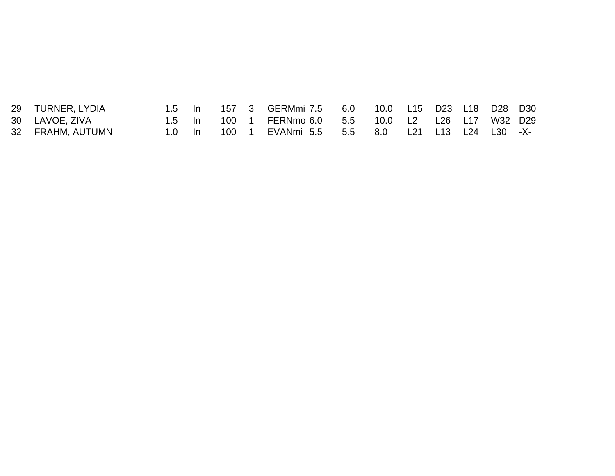| 29 TURNER, LYDIA | $1.5$ In       |          |  | 157 3 GERMmi 7.5 6.0 10.0 L15 D23 L18 D28 D30       |  |  |  |  |
|------------------|----------------|----------|--|-----------------------------------------------------|--|--|--|--|
| 30 LAVOE, ZIVA   |                | $1.5$ In |  | 100 1 FERNmo 6.0 5.5 10.0 L2 L26 L17 W32 D29        |  |  |  |  |
| 32 FRAHM, AUTUMN | $1.0 \quad$ In |          |  | 100 1 EVANmi 5.5  5.5  8.0  L21  L13  L24  L30  -X- |  |  |  |  |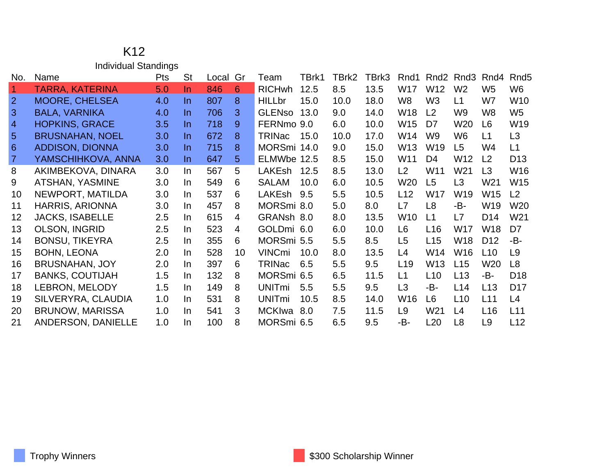### K12 Individual Standings

| No.                  | Name                   | <b>Pts</b> | <b>St</b> | Local | Gr             | Team          | TBrk1 | TBrk2 | TBrk3 | Rnd1            | Rnd <sub>2</sub> | Rnd3            | Rnd4            | Rnd <sub>5</sub> |
|----------------------|------------------------|------------|-----------|-------|----------------|---------------|-------|-------|-------|-----------------|------------------|-----------------|-----------------|------------------|
| $\blacktriangleleft$ | <b>TARRA, KATERINA</b> | 5.0        | In.       | 846   | 6              | <b>RICHwh</b> | 12.5  | 8.5   | 13.5  | W17             | W12              | W <sub>2</sub>  | W <sub>5</sub>  | W6               |
| 2                    | <b>MOORE, CHELSEA</b>  | 4.0        | In.       | 807   | 8              | <b>HILLbr</b> | 15.0  | 10.0  | 18.0  | W8              | W <sub>3</sub>   | L1              | W7              | W10              |
| 3                    | <b>BALA, VARNIKA</b>   | 4.0        | In.       | 706   | 3              | <b>GLENso</b> | 13.0  | 9.0   | 14.0  | W18             | L <sub>2</sub>   | W <sub>9</sub>  | W8              | W <sub>5</sub>   |
| $\overline{4}$       | <b>HOPKINS, GRACE</b>  | 3.5        | In.       | 718   | 9              | FERNmo 9.0    |       | 6.0   | 10.0  | W <sub>15</sub> | D7               | W <sub>20</sub> | L6              | W19              |
| 5                    | <b>BRUSNAHAN, NOEL</b> | 3.0        | In.       | 672   | 8              | TRINac        | 15.0  | 10.0  | 17.0  | W14             | W <sub>9</sub>   | W <sub>6</sub>  | L1              | L <sub>3</sub>   |
| 6                    | <b>ADDISON, DIONNA</b> | 3.0        | In.       | 715   | 8              | MORSmi 14.0   |       | 9.0   | 15.0  | W <sub>13</sub> | W19              | L <sub>5</sub>  | W4              | L1               |
| $\overline{7}$       | YAMSCHIHKOVA, ANNA     | 3.0        | In.       | 647   | 5              | ELMWbe 12.5   |       | 8.5   | 15.0  | W11             | D4               | W12             | L2              | D <sub>13</sub>  |
| 8                    | AKIMBEKOVA, DINARA     | 3.0        | In.       | 567   | 5              | <b>LAKEsh</b> | 12.5  | 8.5   | 13.0  | L2              | W11              | W21             | L <sub>3</sub>  | W16              |
| 9                    | <b>ATSHAN, YASMINE</b> | 3.0        | In.       | 549   | 6              | <b>SALAM</b>  | 10.0  | 6.0   | 10.5  | W20             | L5               | L3              | W21             | W15              |
| 10                   | NEWPORT, MATILDA       | 3.0        | In.       | 537   | 6              | LAKEsh 9.5    |       | 5.5   | 10.5  | L12             | W17              | W19             | W15             | L <sub>2</sub>   |
| 11                   | <b>HARRIS, ARIONNA</b> | 3.0        | In.       | 457   | 8              | MORSmi 8.0    |       | 5.0   | 8.0   | L7              | L <sub>8</sub>   | -B-             | W <sub>19</sub> | W20              |
| 12                   | <b>JACKS, ISABELLE</b> | 2.5        | In.       | 615   | 4              | GRANsh 8.0    |       | 8.0   | 13.5  | W <sub>10</sub> | L1               | L7              | D <sub>14</sub> | W21              |
| 13                   | <b>OLSON, INGRID</b>   | 2.5        | In.       | 523   | $\overline{4}$ | GOLDmi 6.0    |       | 6.0   | 10.0  | L <sub>6</sub>  | L16              | W17             | W18             | D7               |
| 14                   | <b>BONSU, TIKEYRA</b>  | 2.5        | In.       | 355   | 6              | MORSmi 5.5    |       | 5.5   | 8.5   | L <sub>5</sub>  | L15              | W18             | D <sub>12</sub> | -B-              |
| 15                   | <b>BOHN, LEONA</b>     | 2.0        | In.       | 528   | 10             | <b>VINCmi</b> | 10.0  | 8.0   | 13.5  | L4              | W14              | W <sub>16</sub> | L10             | L <sub>9</sub>   |
| 16                   | <b>BRUSNAHAN, JOY</b>  | 2.0        | In.       | 397   | 6              | TRINac        | 6.5   | 5.5   | 9.5   | L <sub>19</sub> | W13              | L15             | W <sub>20</sub> | L <sub>8</sub>   |
| 17                   | <b>BANKS, COUTIJAH</b> | 1.5        | In.       | 132   | 8              | MORSmi 6.5    |       | 6.5   | 11.5  | L1              | L10              | L13             | -B-             | D <sub>18</sub>  |
| 18                   | <b>LEBRON, MELODY</b>  | 1.5        | In.       | 149   | 8              | <b>UNITmi</b> | 5.5   | 5.5   | 9.5   | L <sub>3</sub>  | -B-              | L14             | L13             | D <sub>17</sub>  |
| 19                   | SILVERYRA, CLAUDIA     | 1.0        | In.       | 531   | 8              | <b>UNITmi</b> | 10.5  | 8.5   | 14.0  | W <sub>16</sub> | L <sub>6</sub>   | L10             | L11             | L4               |
| 20                   | <b>BRUNOW, MARISSA</b> | 1.0        | In.       | 541   | 3              | <b>MCKIwa</b> | 8.0   | 7.5   | 11.5  | L <sub>9</sub>  | W <sub>21</sub>  | L4              | L <sub>16</sub> | L11              |
| 21                   | ANDERSON, DANIELLE     | 1.0        | In.       | 100   | 8              | MORSmi 6.5    |       | 6.5   | 9.5   | -B-             | L20              | L <sub>8</sub>  | L <sub>9</sub>  | L12              |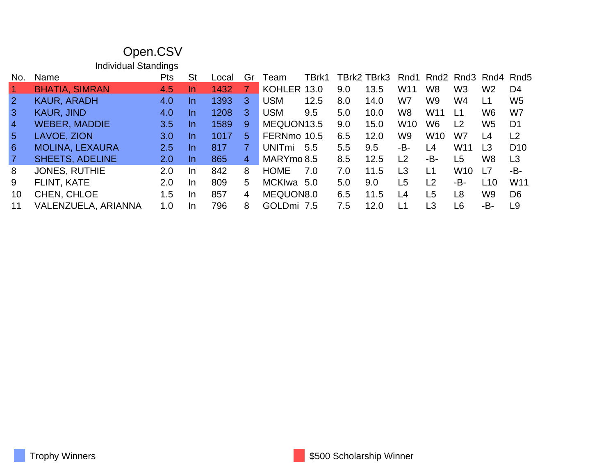|                 | Open.CSV                    |            |           |       |                |               |       |     |             |                 |                |                 |                |                 |
|-----------------|-----------------------------|------------|-----------|-------|----------------|---------------|-------|-----|-------------|-----------------|----------------|-----------------|----------------|-----------------|
|                 | <b>Individual Standings</b> |            |           |       |                |               |       |     |             |                 |                |                 |                |                 |
| No.             | Name                        | <b>Pts</b> | <b>St</b> | Local | Gr             | ⊺eam          | TBrk1 |     | TBrk2 TBrk3 | Rnd1            |                |                 | Rnd2 Rnd3 Rnd4 | Rnd5            |
| $\vert$ 1       | <b>BHATIA, SIMRAN</b>       | 4.5        | In.       | 1432  |                | KOHLER 13.0   |       | 9.0 | 13.5        | W <sub>11</sub> | W8             | W <sub>3</sub>  | W <sub>2</sub> | D <sub>4</sub>  |
| $\overline{2}$  | <b>KAUR, ARADH</b>          | 4.0        | In.       | 1393  | 3              | <b>USM</b>    | 12.5  | 8.0 | 14.0        | W7              | W9             | W4              | L1             | W <sub>5</sub>  |
| $\overline{3}$  | <b>KAUR, JIND</b>           | 4.0        | In.       | 1208  | 3              | <b>USM</b>    | 9.5   | 5.0 | 10.0        | W <sub>8</sub>  | W11            | L1              | W6             | W7              |
| $\overline{4}$  | <b>WEBER, MADDIE</b>        | 3.5        | In.       | 1589  | 9              | MEQUON13.5    |       | 9.0 | 15.0        | <b>W10</b>      | W <sub>6</sub> | L <sub>2</sub>  | W <sub>5</sub> | D <sub>1</sub>  |
| $5\overline{)}$ | LAVOE, ZION                 | 3.0        | In.       | 1017  | 5              | FERNmo 10.5   |       | 6.5 | 12.0        | W9              | <b>W10</b>     | W7              | L4             | L <sub>2</sub>  |
| 6               | <b>MOLINA, LEXAURA</b>      | 2.5        | $\ln$     | 817   | $\overline{7}$ | <b>UNITmi</b> | 5.5   | 5.5 | 9.5         | -B-             | L4             | W <sub>11</sub> | L3             | D <sub>10</sub> |
| $\overline{7}$  | <b>SHEETS, ADELINE</b>      | 2.0        | In.       | 865   | $\overline{4}$ | MARYmo 8.5    |       | 8.5 | 12.5        | L2              | -B-            | L <sub>5</sub>  | W <sub>8</sub> | L3              |
| 8               | <b>JONES, RUTHIE</b>        | 2.0        | In.       | 842   | 8              | <b>HOME</b>   | 7.0   | 7.0 | 11.5        | L3              | L1             | W <sub>10</sub> | L7             | -B-             |
| 9               | <b>FLINT, KATE</b>          | 2.0        | In.       | 809   | 5              | <b>MCKIwa</b> | 5.0   | 5.0 | 9.0         | L <sub>5</sub>  | L <sub>2</sub> | -B-             | L10            | W11             |
| 10              | CHEN, CHLOE                 | 1.5        | In        | 857   | 4              | MEQUON8.0     |       | 6.5 | 11.5        | L4              | L <sub>5</sub> | L <sub>8</sub>  | W9             | D <sub>6</sub>  |
| 11              | VALENZUELA, ARIANNA         | 1.0        | In        | 796   | 8              | GOLDmi 7.5    |       | 7.5 | 12.0        | L1              | L <sub>3</sub> | L <sub>6</sub>  | -B-            | L9              |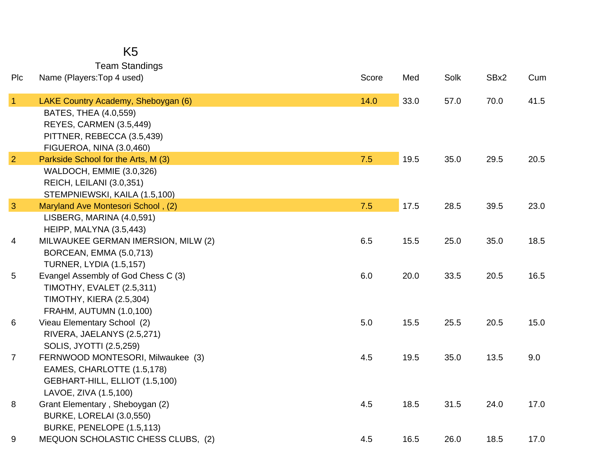### K5 Team Standings

| Plc             | Name (Players: Top 4 used)                                     | Score | Med  | Solk | SBx2 | Cum  |
|-----------------|----------------------------------------------------------------|-------|------|------|------|------|
| $\overline{1}$  | LAKE Country Academy, Sheboygan (6)                            | 14.0  | 33.0 | 57.0 | 70.0 | 41.5 |
|                 | BATES, THEA (4.0,559)                                          |       |      |      |      |      |
|                 | REYES, CARMEN (3.5,449)                                        |       |      |      |      |      |
|                 | PITTNER, REBECCA (3.5,439)                                     |       |      |      |      |      |
|                 | FIGUEROA, NINA (3.0,460)                                       |       |      |      |      |      |
| $\overline{2}$  | Parkside School for the Arts, M (3)                            | 7.5   | 19.5 | 35.0 | 29.5 | 20.5 |
|                 | WALDOCH, EMMIE (3.0,326)                                       |       |      |      |      |      |
|                 | REICH, LEILANI (3.0,351)                                       |       |      |      |      |      |
|                 | STEMPNIEWSKI, KAILA (1.5,100)                                  |       |      |      |      |      |
| $\mathbf{3}$    | Maryland Ave Montesori School, (2)                             | 7.5   | 17.5 | 28.5 | 39.5 | 23.0 |
|                 | LISBERG, MARINA (4.0,591)                                      |       |      |      |      |      |
| 4               | HEIPP, MALYNA (3.5,443)<br>MILWAUKEE GERMAN IMERSION, MILW (2) | 6.5   | 15.5 | 25.0 | 35.0 | 18.5 |
|                 | BORCEAN, EMMA (5.0,713)                                        |       |      |      |      |      |
|                 | <b>TURNER, LYDIA (1.5,157)</b>                                 |       |      |      |      |      |
| $5\phantom{.0}$ | Evangel Assembly of God Chess C (3)                            | 6.0   | 20.0 | 33.5 | 20.5 | 16.5 |
|                 | TIMOTHY, EVALET (2.5,311)                                      |       |      |      |      |      |
|                 | <b>TIMOTHY, KIERA (2.5,304)</b>                                |       |      |      |      |      |
|                 | FRAHM, AUTUMN (1.0,100)                                        |       |      |      |      |      |
| 6               | Vieau Elementary School (2)                                    | 5.0   | 15.5 | 25.5 | 20.5 | 15.0 |
|                 | RIVERA, JAELANYS (2.5,271)                                     |       |      |      |      |      |
|                 | SOLIS, JYOTTI (2.5,259)                                        |       |      |      |      |      |
| $\overline{7}$  | FERNWOOD MONTESORI, Milwaukee (3)                              | 4.5   | 19.5 | 35.0 | 13.5 | 9.0  |
|                 | EAMES, CHARLOTTE (1.5,178)                                     |       |      |      |      |      |
|                 | GEBHART-HILL, ELLIOT (1.5,100)                                 |       |      |      |      |      |
|                 | LAVOE, ZIVA (1.5,100)                                          |       |      |      |      |      |
| 8               | Grant Elementary, Sheboygan (2)                                | 4.5   | 18.5 | 31.5 | 24.0 | 17.0 |
|                 | BURKE, LORELAI (3.0,550)                                       |       |      |      |      |      |
|                 | BURKE, PENELOPE (1.5,113)                                      |       |      |      |      |      |
| 9               | MEQUON SCHOLASTIC CHESS CLUBS, (2)                             | 4.5   | 16.5 | 26.0 | 18.5 | 17.0 |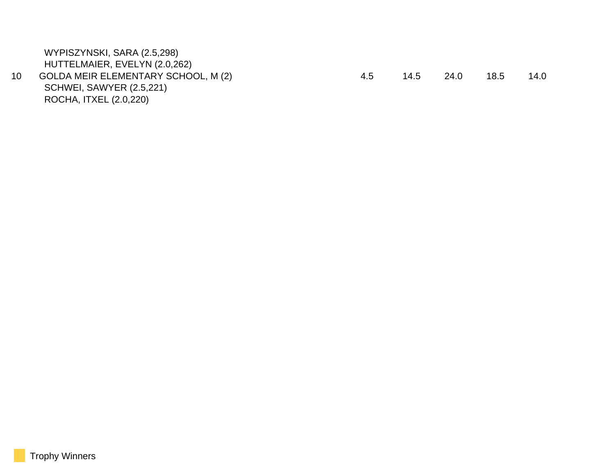| 14.0<br>24.0<br>18.5 |
|----------------------|
|                      |
|                      |
|                      |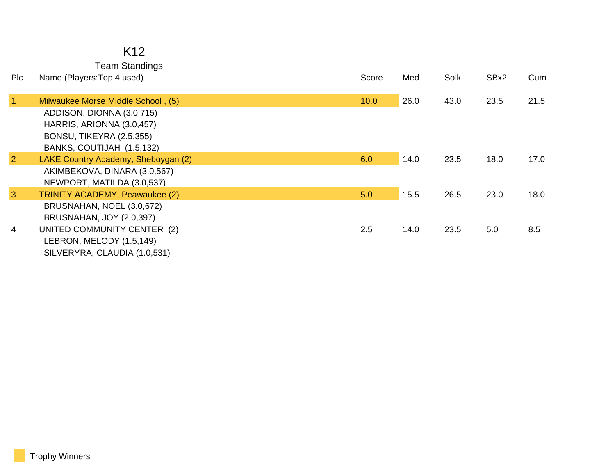#### K12 Team Standings

| Name (Players: Top 4 used)                                                                                                                              | Score                                                   | Med  | Solk | SBx2 | Cum  |
|---------------------------------------------------------------------------------------------------------------------------------------------------------|---------------------------------------------------------|------|------|------|------|
| Milwaukee Morse Middle School, (5)                                                                                                                      | 10.0                                                    | 26.0 | 43.0 | 23.5 | 21.5 |
| HARRIS, ARIONNA (3.0,457)<br><b>BONSU, TIKEYRA (2.5,355)</b><br>BANKS, COUTIJAH (1.5,132)                                                               |                                                         |      |      |      |      |
| LAKE Country Academy, Sheboygan (2)<br>AKIMBEKOVA, DINARA (3.0,567)                                                                                     | 6.0                                                     | 14.0 | 23.5 | 18.0 | 17.0 |
| <b>TRINITY ACADEMY, Peawaukee (2)</b>                                                                                                                   | 5.0                                                     | 15.5 | 26.5 | 23.0 | 18.0 |
| BRUSNAHAN, NOEL (3.0,672)<br><b>BRUSNAHAN, JOY (2.0,397)</b><br>UNITED COMMUNITY CENTER (2)<br>LEBRON, MELODY (1.5,149)<br>SILVERYRA, CLAUDIA (1.0,531) | 2.5                                                     | 14.0 | 23.5 | 5.0  | 8.5  |
|                                                                                                                                                         | ADDISON, DIONNA (3.0,715)<br>NEWPORT, MATILDA (3.0,537) |      |      |      |      |